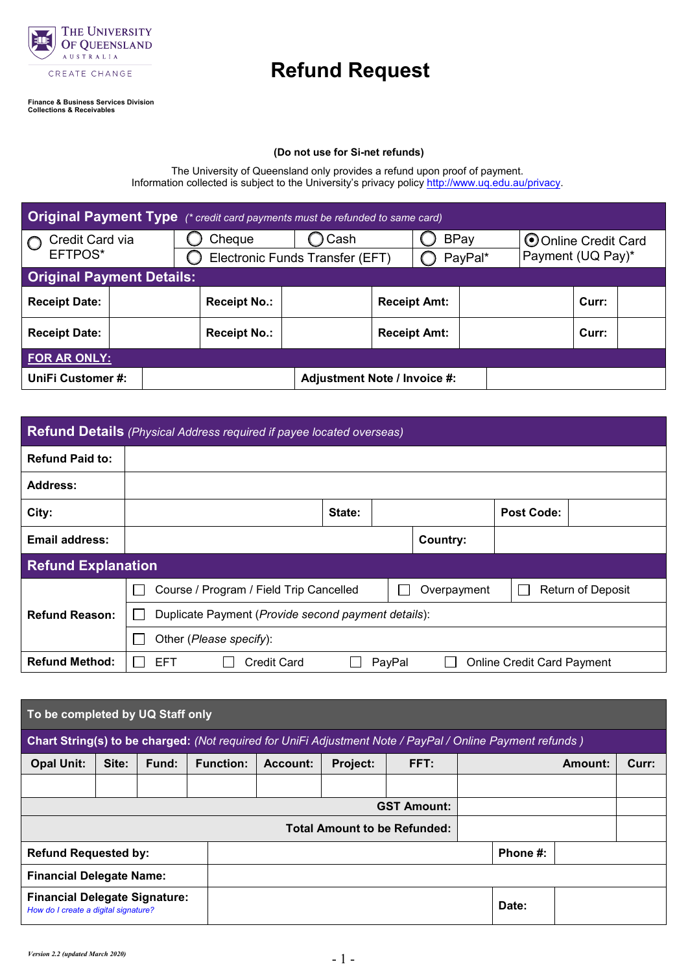

## **Refund Request**

**Finance & Business Services Division Collections & Receivables**

## **(Do not use for Si-net refunds)**

The University of Queensland only provides a refund upon proof of payment. Information collected is subject to the University's privacy polic[y http://www.uq.edu.au/privacy.](http://www.uq.edu.au/privacy)

| <b>Original Payment Type</b> (* credit card payments must be refunded to same card) |  |                                 |      |         |                     |  |                                           |       |  |
|-------------------------------------------------------------------------------------|--|---------------------------------|------|---------|---------------------|--|-------------------------------------------|-------|--|
| Credit Card via<br>EFTPOS*                                                          |  | Cheque                          | Cash |         | <b>BPay</b>         |  | O Online Credit Card<br>Payment (UQ Pay)* |       |  |
|                                                                                     |  | Electronic Funds Transfer (EFT) |      | PayPal* |                     |  |                                           |       |  |
| <b>Original Payment Details:</b>                                                    |  |                                 |      |         |                     |  |                                           |       |  |
| <b>Receipt Date:</b>                                                                |  | <b>Receipt No.:</b>             |      |         | <b>Receipt Amt:</b> |  |                                           | Curr: |  |
| <b>Receipt Date:</b>                                                                |  | <b>Receipt No.:</b>             |      |         | <b>Receipt Amt:</b> |  |                                           | Curr: |  |
| FOR AR ONLY:                                                                        |  |                                 |      |         |                     |  |                                           |       |  |
| UniFi Customer#:<br>Adjustment Note / Invoice #:                                    |  |                                 |      |         |                     |  |                                           |       |  |

| <b>Refund Details</b> (Physical Address required if payee located overseas) |                                                     |        |        |             |                                   |                          |  |
|-----------------------------------------------------------------------------|-----------------------------------------------------|--------|--------|-------------|-----------------------------------|--------------------------|--|
| <b>Refund Paid to:</b>                                                      |                                                     |        |        |             |                                   |                          |  |
| Address:                                                                    |                                                     |        |        |             |                                   |                          |  |
| City:                                                                       |                                                     | State: |        |             | <b>Post Code:</b>                 |                          |  |
| <b>Email address:</b>                                                       |                                                     |        |        | Country:    |                                   |                          |  |
| <b>Refund Explanation</b>                                                   |                                                     |        |        |             |                                   |                          |  |
|                                                                             | Course / Program / Field Trip Cancelled             |        |        | Overpayment |                                   | <b>Return of Deposit</b> |  |
| <b>Refund Reason:</b>                                                       | Duplicate Payment (Provide second payment details): |        |        |             |                                   |                          |  |
|                                                                             | Other (Please specify):                             |        |        |             |                                   |                          |  |
| <b>Refund Method:</b>                                                       | EFT<br>Credit Card                                  |        | PayPal |             | <b>Online Credit Card Payment</b> |                          |  |

| To be completed by UQ Staff only                                                                          |                                     |       |                  |          |          |                    |  |          |         |       |
|-----------------------------------------------------------------------------------------------------------|-------------------------------------|-------|------------------|----------|----------|--------------------|--|----------|---------|-------|
| Chart String(s) to be charged: (Not required for UniFi Adjustment Note / PayPal / Online Payment refunds) |                                     |       |                  |          |          |                    |  |          |         |       |
| <b>Opal Unit:</b>                                                                                         | Site:                               | Fund: | <b>Function:</b> | Account: | Project: | FFT:               |  |          | Amount: | Curr: |
|                                                                                                           |                                     |       |                  |          |          |                    |  |          |         |       |
|                                                                                                           |                                     |       |                  |          |          | <b>GST Amount:</b> |  |          |         |       |
|                                                                                                           | <b>Total Amount to be Refunded:</b> |       |                  |          |          |                    |  |          |         |       |
| <b>Refund Requested by:</b>                                                                               |                                     |       |                  |          |          |                    |  | Phone #: |         |       |
| <b>Financial Delegate Name:</b>                                                                           |                                     |       |                  |          |          |                    |  |          |         |       |
| <b>Financial Delegate Signature:</b><br>How do I create a digital signature?                              |                                     |       |                  |          |          |                    |  | Date:    |         |       |